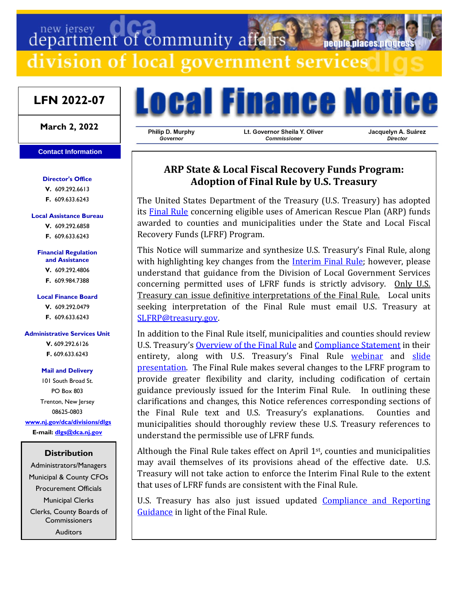# department of community affairs

division of local government services

# **LFN 2022-07**

**March 2, 2022**

#### **Contact Information**

**Director's Office V.** 609.292.6613 **F.** 609.633.6243

#### **Local Assistance Bureau**

**V.** 609.292.6858 **F.** 609.633.6243

#### **Financial Regulation and Assistance**

**V.** 609.292.4806

**F.** 609.984.7388

#### **Local Finance Board**

**V.** 609.292.0479

**F.** 609.633.6243

#### **Administrative Services Unit**

**V.** 609.292.6126 **F.** 609.633.6243

#### **Mail and Delivery**

101 South Broad St. PO Box 803 Trenton, New Jersey 08625-0803 **[www.nj.gov/dca/divisions/dlgs](http://www.nj.gov/dca/divisions/dlgs) E-mail: [dlgs@dca.nj.gov](mailto:dlgs@dca.nj.gov)**

#### **Distribution**

Administrators/Managers Municipal & County CFOs Procurement Officials Municipal Clerks Clerks, County Boards of **Commissioners Auditors** 



Philip D. Murphy Governor

Lt. Governor Sheila Y. Oliver Commissioner

Jacquelyn A. Suárez **Director** 

neonie niaces nroo

# **ARP State & Local Fiscal Recovery Funds Program: Adoption of Final Rule by U.S. Treasury**

The United States Department of the Treasury (U.S. Treasury) has adopted its [Final Rule](https://home.treasury.gov/system/files/136/SLFRF-Final-Rule.pdf) concerning eligible uses of American Rescue Plan (ARP) funds awarded to counties and municipalities under the State and Local Fiscal Recovery Funds (LFRF) Program.

This Notice will summarize and synthesize U.S. Treasury's Final Rule, along with highlighting key changes from the Interim [Final Rule;](https://www.govinfo.gov/content/pkg/FR-2021-05-17/pdf/2021-10283.pdf) however, please understand that guidance from the Division of Local Government Services concerning permitted uses of LFRF funds is strictly advisory. Only U.S. Treasury can issue definitive interpretations of the Final Rule. Local units seeking interpretation of the Final Rule must email U.S. Treasury at [SLFRP@treasury.gov.](mailto:SLFRP@treasury.gov)

In addition to the Final Rule itself, municipalities and counties should review U.S. Treasury's [Overview of the Final](https://home.treasury.gov/system/files/136/SLFRF-Final-Rule-Overview.pdf) Rule and [Compliance Statement](https://home.treasury.gov/system/files/136/SLFRF-Compliance-Statement.pdf) in their entirety, along with U.S. Treasury's Final Rule [webinar](https://youtu.be/rwcwxguVR0I) and [slide](https://home.treasury.gov/system/files/136/SLFRF-Final-Rule-Webinar.pdf)  [presentation.](https://home.treasury.gov/system/files/136/SLFRF-Final-Rule-Webinar.pdf) The Final Rule makes several changes to the LFRF program to provide greater flexibility and clarity, including codification of certain guidance previously issued for the Interim Final Rule. In outlining these clarifications and changes, this Notice references corresponding sections of the Final Rule text and U.S. Treasury's explanations. Counties and municipalities should thoroughly review these U.S. Treasury references to understand the permissible use of LFRF funds.

Although the Final Rule takes effect on April 1<sup>st</sup>, counties and municipalities may avail themselves of its provisions ahead of the effective date. U.S. Treasury will not take action to enforce the Interim Final Rule to the extent that uses of LFRF funds are consistent with the Final Rule.

U.S. Treasury has also just issued updated Compliance and Reporting [Guidance](https://home.treasury.gov/system/files/136/SLFRF-Compliance-and-Reporting-Guidance.pdf) in light of the Final Rule.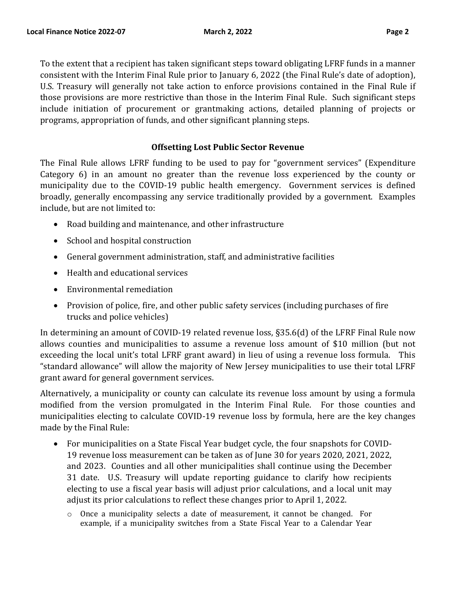To the extent that a recipient has taken significant steps toward obligating LFRF funds in a manner consistent with the Interim Final Rule prior to January 6, 2022 (the Final Rule's date of adoption), U.S. Treasury will generally not take action to enforce provisions contained in the Final Rule if those provisions are more restrictive than those in the Interim Final Rule. Such significant steps include initiation of procurement or grantmaking actions, detailed planning of projects or programs, appropriation of funds, and other significant planning steps.

# **Offsetting Lost Public Sector Revenue**

The Final Rule allows LFRF funding to be used to pay for "government services" (Expenditure Category 6) in an amount no greater than the revenue loss experienced by the county or municipality due to the COVID-19 public health emergency. Government services is defined broadly, generally encompassing any service traditionally provided by a government. Examples include, but are not limited to:

- Road building and maintenance, and other infrastructure
- School and hospital construction
- General government administration, staff, and administrative facilities
- Health and educational services
- Environmental remediation
- Provision of police, fire, and other public safety services (including purchases of fire trucks and police vehicles)

In determining an amount of COVID-19 related revenue loss, §35.6(d) of the LFRF Final Rule now allows counties and municipalities to assume a revenue loss amount of \$10 million (but not exceeding the local unit's total LFRF grant award) in lieu of using a revenue loss formula. This "standard allowance" will allow the majority of New Jersey municipalities to use their total LFRF grant award for general government services.

Alternatively, a municipality or county can calculate its revenue loss amount by using a formula modified from the version promulgated in the Interim Final Rule. For those counties and municipalities electing to calculate COVID-19 revenue loss by formula, here are the key changes made by the Final Rule:

- For municipalities on a State Fiscal Year budget cycle, the four snapshots for COVID-19 revenue loss measurement can be taken as of June 30 for years 2020, 2021, 2022, and 2023. Counties and all other municipalities shall continue using the December 31 date. U.S. Treasury will update reporting guidance to clarify how recipients electing to use a fiscal year basis will adjust prior calculations, and a local unit may adjust its prior calculations to reflect these changes prior to April 1, 2022.
	- $\circ$  Once a municipality selects a date of measurement, it cannot be changed. For example, if a municipality switches from a State Fiscal Year to a Calendar Year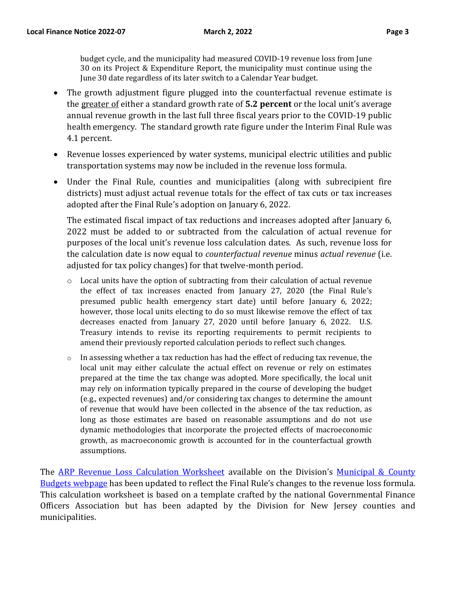budget cycle, and the municipality had measured COVID-19 revenue loss from June 30 on its Project & Expenditure Report, the municipality must continue using the June 30 date regardless of its later switch to a Calendar Year budget.

- The growth adjustment figure plugged into the counterfactual revenue estimate is the greater of either a standard growth rate of **5.2 percent** or the local unit's average annual revenue growth in the last full three fiscal years prior to the COVID-19 public health emergency. The standard growth rate figure under the Interim Final Rule was 4.1 percent.
- Revenue losses experienced by water systems, municipal electric utilities and public transportation systems may now be included in the revenue loss formula.
- Under the Final Rule, counties and municipalities (along with subrecipient fire districts) must adjust actual revenue totals for the effect of tax cuts or tax increases adopted after the Final Rule's adoption on January 6, 2022.

The estimated fiscal impact of tax reductions and increases adopted after January 6, 2022 must be added to or subtracted from the calculation of actual revenue for purposes of the local unit's revenue loss calculation dates. As such, revenue loss for the calculation date is now equal to *counterfactual revenue* minus *actual revenue* (i.e. adjusted for tax policy changes) for that twelve-month period.

- $\circ$  Local units have the option of subtracting from their calculation of actual revenue the effect of tax increases enacted from January 27, 2020 (the Final Rule's presumed public health emergency start date) until before January 6, 2022; however, those local units electing to do so must likewise remove the effect of tax decreases enacted from January 27, 2020 until before January 6, 2022. U.S. Treasury intends to revise its reporting requirements to permit recipients to amend their previously reported calculation periods to reflect such changes.
- $\circ$  In assessing whether a tax reduction has had the effect of reducing tax revenue, the local unit may either calculate the actual effect on revenue or rely on estimates prepared at the time the tax change was adopted. More specifically, the local unit may rely on information typically prepared in the course of developing the budget (e.g., expected revenues) and/or considering tax changes to determine the amount of revenue that would have been collected in the absence of the tax reduction, as long as those estimates are based on reasonable assumptions and do not use dynamic methodologies that incorporate the projected effects of macroeconomic growth, as macroeconomic growth is accounted for in the counterfactual growth assumptions.

The [ARP Revenue Loss Calculation Worksheet](https://www.nj.gov/dca/divisions/dlgs/resources/fiscal_docs/bud_forms/GFOA_Revenue_Loss_Calculator_NJ.xlsx) available on the Division's Municipal & County [Budgets webpage](https://www.nj.gov/dca/divisions/dlgs/programs/mc_budgets.html) has been updated to reflect the Final Rule's changes to the revenue loss formula. This calculation worksheet is based on a template crafted by the national Governmental Finance Officers Association but has been adapted by the Division for New Jersey counties and municipalities.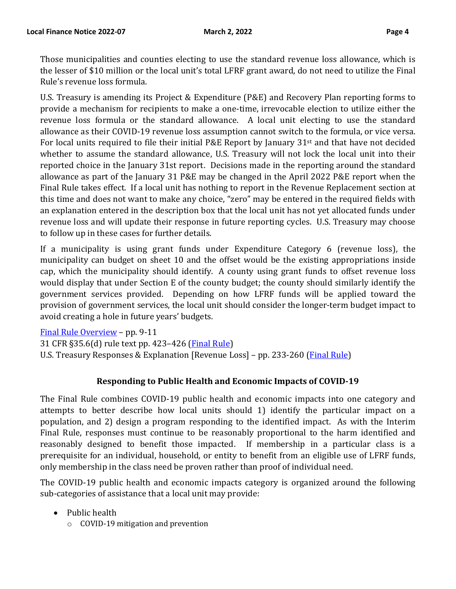Those municipalities and counties electing to use the standard revenue loss allowance, which is the lesser of \$10 million or the local unit's total LFRF grant award, do not need to utilize the Final Rule's revenue loss formula.

U.S. Treasury is amending its Project & Expenditure (P&E) and Recovery Plan reporting forms to provide a mechanism for recipients to make a one-time, irrevocable election to utilize either the revenue loss formula or the standard allowance. A local unit electing to use the standard allowance as their COVID-19 revenue loss assumption cannot switch to the formula, or vice versa. For local units required to file their initial P&E Report by January 31st and that have not decided whether to assume the standard allowance, U.S. Treasury will not lock the local unit into their reported choice in the January 31st report. Decisions made in the reporting around the standard allowance as part of the January 31 P&E may be changed in the April 2022 P&E report when the Final Rule takes effect. If a local unit has nothing to report in the Revenue Replacement section at this time and does not want to make any choice, "zero" may be entered in the required fields with an explanation entered in the description box that the local unit has not yet allocated funds under revenue loss and will update their response in future reporting cycles. U.S. Treasury may choose to follow up in these cases for further details.

If a municipality is using grant funds under Expenditure Category 6 (revenue loss), the municipality can budget on sheet 10 and the offset would be the existing appropriations inside cap, which the municipality should identify. A county using grant funds to offset revenue loss would display that under Section E of the county budget; the county should similarly identify the government services provided. Depending on how LFRF funds will be applied toward the provision of government services, the local unit should consider the longer-term budget impact to avoid creating a hole in future years' budgets.

[Final Rule Overview](https://home.treasury.gov/system/files/136/SLFRF-Final-Rule-Overview.pdf) – pp. 9-11 31 CFR §35.6(d) rule text pp. 423–426 [\(Final Rule\)](https://home.treasury.gov/system/files/136/SLFRF-Final-Rule.pdf) U.S. Treasury Responses & Explanation [Revenue Loss] - pp. 233-260 (*Final Rule*)

# **Responding to Public Health and Economic Impacts of COVID-19**

The Final Rule combines COVID-19 public health and economic impacts into one category and attempts to better describe how local units should 1) identify the particular impact on a population, and 2) design a program responding to the identified impact. As with the Interim Final Rule, responses must continue to be reasonably proportional to the harm identified and reasonably designed to benefit those impacted. If membership in a particular class is a prerequisite for an individual, household, or entity to benefit from an eligible use of LFRF funds, only membership in the class need be proven rather than proof of individual need.

The COVID-19 public health and economic impacts category is organized around the following sub-categories of assistance that a local unit may provide:

- Public health
	- o COVID-19 mitigation and prevention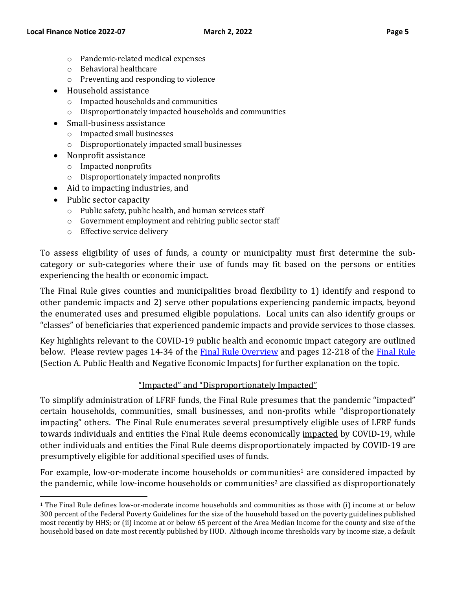- o Pandemic-related medical expenses
- o Behavioral healthcare
- o Preventing and responding to violence
- Household assistance
	- o Impacted households and communities
	- o Disproportionately impacted households and communities
- Small-business assistance
	- o Impacted small businesses
	- o Disproportionately impacted small businesses
- Nonprofit assistance
	- o Impacted nonprofits
	- o Disproportionately impacted nonprofits
- Aid to impacting industries, and
- Public sector capacity
	- o Public safety, public health, and human services staff
	- o Government employment and rehiring public sector staff
	- o Effective service delivery

To assess eligibility of uses of funds, a county or municipality must first determine the subcategory or sub-categories where their use of funds may fit based on the persons or entities experiencing the health or economic impact.

The Final Rule gives counties and municipalities broad flexibility to 1) identify and respond to other pandemic impacts and 2) serve other populations experiencing pandemic impacts, beyond the enumerated uses and presumed eligible populations. Local units can also identify groups or "classes" of beneficiaries that experienced pandemic impacts and provide services to those classes.

Key highlights relevant to the COVID-19 public health and economic impact category are outlined below. Please review pages 14-34 of the **Final [Rule Overview](https://home.treasury.gov/system/files/136/SLFRF-Final-Rule-Overview.pdf)** and pages 12-218 of the [Final Rule](https://home.treasury.gov/system/files/136/SLFRF-Final-Rule.pdf) (Section A. Public Health and Negative Economic Impacts) for further explanation on the topic.

#### "Impacted" and "Disproportionately Impacted"

To simplify administration of LFRF funds, the Final Rule presumes that the pandemic "impacted" certain households, communities, small businesses, and non-profits while "disproportionately impacting" others. The Final Rule enumerates several presumptively eligible uses of LFRF funds towards individuals and entities the Final Rule deems economically impacted by COVID-19, while other individuals and entities the Final Rule deems disproportionately impacted by COVID-19 are presumptively eligible for additional specified uses of funds.

For example, low-or-moderate income households or communities<sup>1</sup> are considered impacted by the pandemic, while low-income households or communities <sup>2</sup> are classified as disproportionately

<sup>1</sup> The Final Rule defines low-or-moderate income households and communities as those with (i) income at or below 300 percent of the Federal Poverty Guidelines for the size of the household based on the poverty guidelines published most recently by HHS; or (ii) income at or below 65 percent of the Area Median Income for the county and size of the household based on date most recently published by HUD. Although income thresholds vary by income size, a default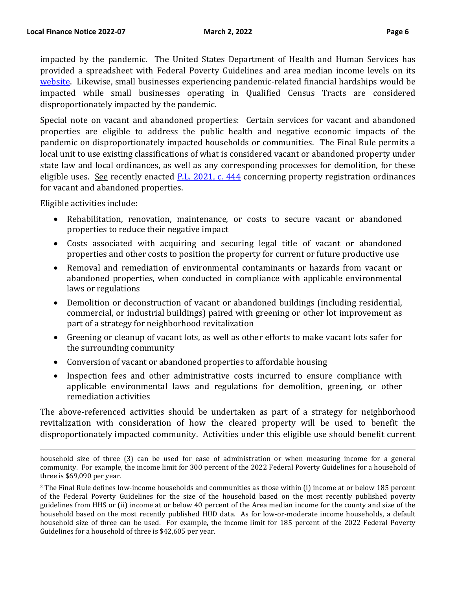impacted by the pandemic. The United States Department of Health and Human Services has provided a spreadsheet with Federal Poverty Guidelines and area median income levels on its [website.](https://aspe.hhs.gov/topics/poverty-economic-mobility/poverty-guidelines) Likewise, small businesses experiencing pandemic-related financial hardships would be impacted while small businesses operating in Qualified Census Tracts are considered disproportionately impacted by the pandemic.

Special note on vacant and abandoned properties: Certain services for vacant and abandoned properties are eligible to address the public health and negative economic impacts of the pandemic on disproportionately impacted households or communities. The Final Rule permits a local unit to use existing classifications of what is considered vacant or abandoned property under state law and local ordinances, as well as any corresponding processes for demolition, for these eligible uses. See recently enacted [P.L. 2021, c. 444](https://www.njleg.state.nj.us/Bills/2020/A3000/2877_R2.PDF) concerning property registration ordinances for vacant and abandoned properties.

Eligible activities include:

- Rehabilitation, renovation, maintenance, or costs to secure vacant or abandoned properties to reduce their negative impact
- Costs associated with acquiring and securing legal title of vacant or abandoned properties and other costs to position the property for current or future productive use
- Removal and remediation of environmental contaminants or hazards from vacant or abandoned properties, when conducted in compliance with applicable environmental laws or regulations
- Demolition or deconstruction of vacant or abandoned buildings (including residential, commercial, or industrial buildings) paired with greening or other lot improvement as part of a strategy for neighborhood revitalization
- Greening or cleanup of vacant lots, as well as other efforts to make vacant lots safer for the surrounding community
- Conversion of vacant or abandoned properties to affordable housing
- Inspection fees and other administrative costs incurred to ensure compliance with applicable environmental laws and regulations for demolition, greening, or other remediation activities

The above-referenced activities should be undertaken as part of a strategy for neighborhood revitalization with consideration of how the cleared property will be used to benefit the disproportionately impacted community. Activities under this eligible use should benefit current

household size of three (3) can be used for ease of administration or when measuring income for a general community. For example, the income limit for 300 percent of the 2022 Federal Poverty Guidelines for a household of three is \$69,090 per year.

<sup>&</sup>lt;sup>2</sup> The Final Rule defines low-income households and communities as those within (i) income at or below 185 percent of the Federal Poverty Guidelines for the size of the household based on the most recently published poverty guidelines from HHS or (ii) income at or below 40 percent of the Area median income for the county and size of the household based on the most recently published HUD data. As for low-or-moderate income households, a default household size of three can be used. For example, the income limit for 185 percent of the 2022 Federal Poverty Guidelines for a household of three is \$42,605 per year.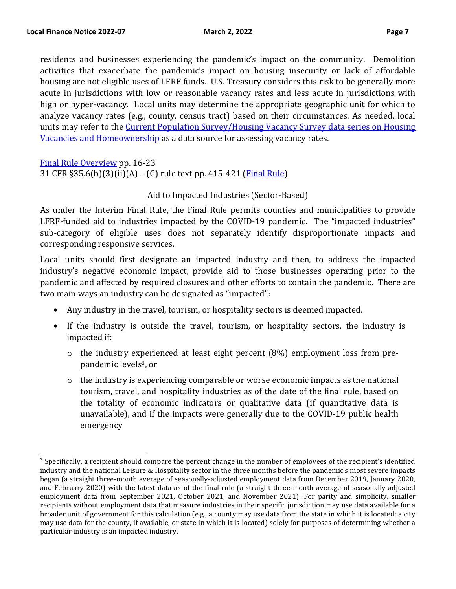residents and businesses experiencing the pandemic's impact on the community. Demolition activities that exacerbate the pandemic's impact on housing insecurity or lack of affordable housing are not eligible uses of LFRF funds. U.S. Treasury considers this risk to be generally more acute in jurisdictions with low or reasonable vacancy rates and less acute in jurisdictions with high or hyper-vacancy. Local units may determine the appropriate geographic unit for which to analyze vacancy rates (e.g., county, census tract) based on their circumstances. As needed, local units may refer to the [Current Population Survey/Housing Vacancy](https://www.census.gov/housing/hvs/index.html) Survey data series on Housing Vacancies [and Homeownership](https://www.census.gov/housing/hvs/index.html) as a data source for assessing vacancy rates.

[Final Rule Overview](https://home.treasury.gov/system/files/136/SLFRF-Final-Rule-Overview.pdf) pp. 16-23 31 CFR §35.6(b)(3)(ii)(A) – (C) rule text pp. 415-421 [\(Final Rule\)](https://home.treasury.gov/system/files/136/SLFRF-Final-Rule.pdf)

#### Aid to Impacted Industries (Sector-Based)

As under the Interim Final Rule, the Final Rule permits counties and municipalities to provide LFRF-funded aid to industries impacted by the COVID-19 pandemic. The "impacted industries" sub-category of eligible uses does not separately identify disproportionate impacts and corresponding responsive services.

Local units should first designate an impacted industry and then, to address the impacted industry's negative economic impact, provide aid to those businesses operating prior to the pandemic and affected by required closures and other efforts to contain the pandemic. There are two main ways an industry can be designated as "impacted":

- Any industry in the travel, tourism, or hospitality sectors is deemed impacted.
- If the industry is outside the travel, tourism, or hospitality sectors, the industry is impacted if:
	- $\circ$  the industry experienced at least eight percent (8%) employment loss from prepandemic levels3, or
	- o the industry is experiencing comparable or worse economic impacts as the national tourism, travel, and hospitality industries as of the date of the final rule, based on the totality of economic indicators or qualitative data (if quantitative data is unavailable), and if the impacts were generally due to the COVID-19 public health emergency

 $3$  Specifically, a recipient should compare the percent change in the number of employees of the recipient's identified industry and the national Leisure & Hospitality sector in the three months before the pandemic's most severe impacts began (a straight three-month average of seasonally-adjusted employment data from December 2019, January 2020, and February 2020) with the latest data as of the final rule (a straight three-month average of seasonally-adjusted employment data from September 2021, October 2021, and November 2021). For parity and simplicity, smaller recipients without employment data that measure industries in their specific jurisdiction may use data available for a broader unit of government for this calculation (e.g., a county may use data from the state in which it is located; a city may use data for the county, if available, or state in which it is located) solely for purposes of determining whether a particular industry is an impacted industry.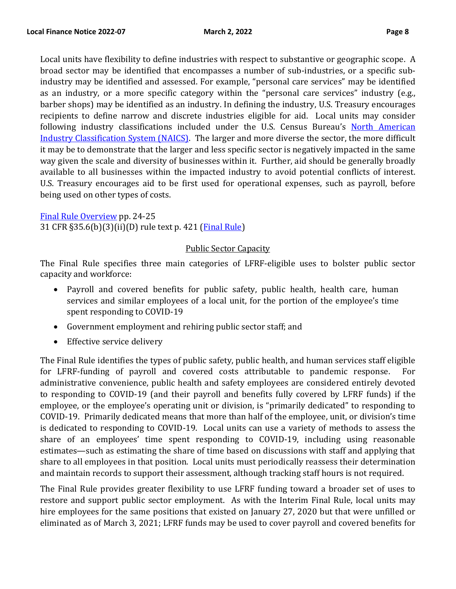Local units have flexibility to define industries with respect to substantive or geographic scope. A broad sector may be identified that encompasses a number of sub-industries, or a specific subindustry may be identified and assessed. For example, "personal care services" may be identified as an industry, or a more specific category within the "personal care services" industry (e.g., barber shops) may be identified as an industry. In defining the industry, U.S. Treasury encourages recipients to define narrow and discrete industries eligible for aid. Local units may consider following industry classifications included under the U.S. Census Bureau's [North American](https://www.census.gov/naics/)  [Industry Classification System \(NAICS\).](https://www.census.gov/naics/) The larger and more diverse the sector, the more difficult it may be to demonstrate that the larger and less specific sector is negatively impacted in the same way given the scale and diversity of businesses within it. Further, aid should be generally broadly available to all businesses within the impacted industry to avoid potential conflicts of interest. U.S. Treasury encourages aid to be first used for operational expenses, such as payroll, before being used on other types of costs.

#### [Final Rule Overview](https://home.treasury.gov/system/files/136/SLFRF-Final-Rule-Overview.pdf) pp. 24-25

31 CFR §35.6(b)(3)(ii)(D) rule text p. 421 [\(Final Rule\)](https://home.treasury.gov/system/files/136/SLFRF-Final-Rule.pdf)

### Public Sector Capacity

The Final Rule specifies three main categories of LFRF-eligible uses to bolster public sector capacity and workforce:

- Payroll and covered benefits for public safety, public health, health care, human services and similar employees of a local unit, for the portion of the employee's time spent responding to COVID-19
- Government employment and rehiring public sector staff; and
- Effective service delivery

The Final Rule identifies the types of public safety, public health, and human services staff eligible for LFRF-funding of payroll and covered costs attributable to pandemic response. administrative convenience, public health and safety employees are considered entirely devoted to responding to COVID-19 (and their payroll and benefits fully covered by LFRF funds) if the employee, or the employee's operating unit or division, is "primarily dedicated" to responding to COVID-19. Primarily dedicated means that more than half of the employee, unit, or division's time is dedicated to responding to COVID-19. Local units can use a variety of methods to assess the share of an employees' time spent responding to COVID-19, including using reasonable estimates—such as estimating the share of time based on discussions with staff and applying that share to all employees in that position. Local units must periodically reassess their determination and maintain records to support their assessment, although tracking staff hours is not required.

The Final Rule provides greater flexibility to use LFRF funding toward a broader set of uses to restore and support public sector employment. As with the Interim Final Rule, local units may hire employees for the same positions that existed on January 27, 2020 but that were unfilled or eliminated as of March 3, 2021; LFRF funds may be used to cover payroll and covered benefits for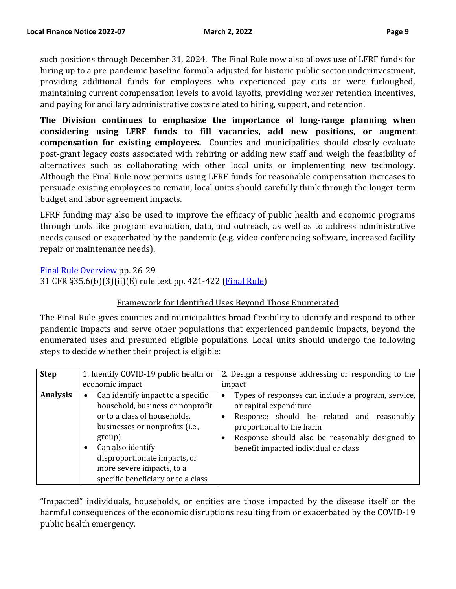such positions through December 31, 2024. The Final Rule now also allows use of LFRF funds for hiring up to a pre-pandemic baseline formula-adjusted for historic public sector underinvestment, providing additional funds for employees who experienced pay cuts or were furloughed, maintaining current compensation levels to avoid layoffs, providing worker retention incentives, and paying for ancillary administrative costs related to hiring, support, and retention.

**The Division continues to emphasize the importance of long-range planning when considering using LFRF funds to fill vacancies, add new positions, or augment compensation for existing employees.** Counties and municipalities should closely evaluate post-grant legacy costs associated with rehiring or adding new staff and weigh the feasibility of alternatives such as collaborating with other local units or implementing new technology. Although the Final Rule now permits using LFRF funds for reasonable compensation increases to persuade existing employees to remain, local units should carefully think through the longer-term budget and labor agreement impacts.

LFRF funding may also be used to improve the efficacy of public health and economic programs through tools like program evaluation, data, and outreach, as well as to address administrative needs caused or exacerbated by the pandemic (e.g. video-conferencing software, increased facility repair or maintenance needs).

[Final Rule Overview](https://home.treasury.gov/system/files/136/SLFRF-Final-Rule-Overview.pdf) pp. 26-29 31 CFR §35.6(b)(3)(ii)(E) rule text pp. 421-422 [\(Final Rule\)](https://home.treasury.gov/system/files/136/SLFRF-Final-Rule.pdf)

# Framework for Identified Uses Beyond Those Enumerated

The Final Rule gives counties and municipalities broad flexibility to identify and respond to other pandemic impacts and serve other populations that experienced pandemic impacts, beyond the enumerated uses and presumed eligible populations. Local units should undergo the following steps to decide whether their project is eligible:

| <b>Step</b>     | 1. Identify COVID-19 public health or                                                                                                                                                                                                                                      | 2. Design a response addressing or responding to the                                                                                                                                                                                                 |  |
|-----------------|----------------------------------------------------------------------------------------------------------------------------------------------------------------------------------------------------------------------------------------------------------------------------|------------------------------------------------------------------------------------------------------------------------------------------------------------------------------------------------------------------------------------------------------|--|
|                 | economic impact                                                                                                                                                                                                                                                            | impact                                                                                                                                                                                                                                               |  |
| <b>Analysis</b> | Can identify impact to a specific<br>household, business or nonprofit<br>or to a class of households,<br>businesses or nonprofits (i.e.,<br>group)<br>Can also identify<br>disproportionate impacts, or<br>more severe impacts, to a<br>specific beneficiary or to a class | Types of responses can include a program, service,<br>٠<br>or capital expenditure<br>Response should be related and reasonably<br>proportional to the harm<br>Response should also be reasonably designed to<br>benefit impacted individual or class |  |

"Impacted" individuals, households, or entities are those impacted by the disease itself or the harmful consequences of the economic disruptions resulting from or exacerbated by the COVID-19 public health emergency.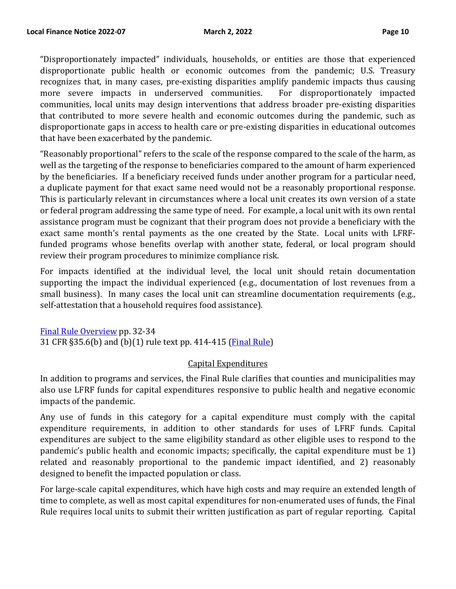"Disproportionately impacted" individuals, households, or entities are those that experienced disproportionate public health or economic outcomes from the pandemic; U.S. Treasury recognizes that, in many cases, pre-existing disparities amplify pandemic impacts thus causing more severe impacts in underserved communities. For disproportionately impacted communities, local units may design interventions that address broader pre-existing disparities that contributed to more severe health and economic outcomes during the pandemic, such as disproportionate gaps in access to health care or pre-existing disparities in educational outcomes that have been exacerbated by the pandemic.

"Reasonably proportional" refers to the scale of the response compared to the scale of the harm, as well as the targeting of the response to beneficiaries compared to the amount of harm experienced by the beneficiaries. If a beneficiary received funds under another program for a particular need, a duplicate payment for that exact same need would not be a reasonably proportional response. This is particularly relevant in circumstances where a local unit creates its own version of a state or federal program addressing the same type of need. For example, a local unit with its own rental assistance program must be cognizant that their program does not provide a beneficiary with the exact same month's rental payments as the one created by the State. Local units with LFRFfunded programs whose benefits overlap with another state, federal, or local program should review their program procedures to minimize compliance risk.

For impacts identified at the individual level, the local unit should retain documentation supporting the impact the individual experienced (e.g., documentation of lost revenues from a small business). In many cases the local unit can streamline documentation requirements (e.g., self-attestation that a household requires food assistance).

[Final Rule Overview](https://home.treasury.gov/system/files/136/SLFRF-Final-Rule-Overview.pdf) pp. 32-34 31 CFR §35.6(b) and (b)(1) rule text pp. 414-415 [\(Final Rule\)](https://home.treasury.gov/system/files/136/SLFRF-Final-Rule.pdf)

#### Capital Expenditures

In addition to programs and services, the Final Rule clarifies that counties and municipalities may also use LFRF funds for capital expenditures responsive to public health and negative economic impacts of the pandemic.

Any use of funds in this category for a capital expenditure must comply with the capital expenditure requirements, in addition to other standards for uses of LFRF funds. Capital expenditures are subject to the same eligibility standard as other eligible uses to respond to the pandemic's public health and economic impacts; specifically, the capital expenditure must be 1) related and reasonably proportional to the pandemic impact identified, and 2) reasonably designed to benefit the impacted population or class.

For large-scale capital expenditures, which have high costs and may require an extended length of time to complete, as well as most capital expenditures for non-enumerated uses of funds, the Final Rule requires local units to submit their written justification as part of regular reporting. Capital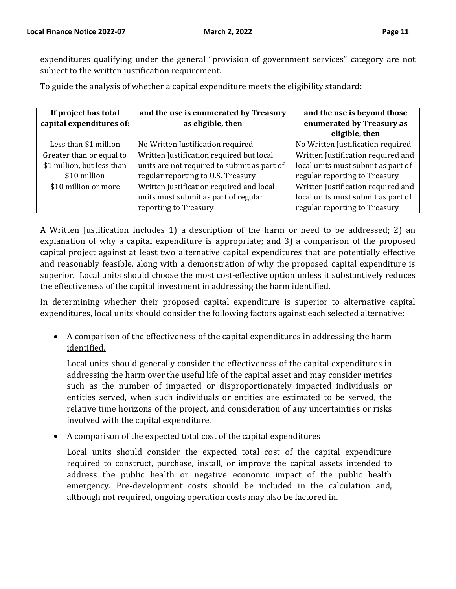expenditures qualifying under the general "provision of government services" category are not subject to the written justification requirement.

To guide the analysis of whether a capital expenditure meets the eligibility standard:

| If project has total       | and the use is enumerated by Treasury       | and the use is beyond those        |
|----------------------------|---------------------------------------------|------------------------------------|
| capital expenditures of:   | as eligible, then                           | enumerated by Treasury as          |
|                            |                                             | eligible, then                     |
| Less than \$1 million      | No Written Justification required           | No Written Justification required  |
| Greater than or equal to   | Written Justification required but local    | Written Justification required and |
| \$1 million, but less than | units are not required to submit as part of | local units must submit as part of |
| \$10 million               | regular reporting to U.S. Treasury          | regular reporting to Treasury      |
| \$10 million or more       | Written Justification required and local    | Written Justification required and |
|                            | units must submit as part of regular        | local units must submit as part of |
|                            | reporting to Treasury                       | regular reporting to Treasury      |

A Written Justification includes 1) a description of the harm or need to be addressed; 2) an explanation of why a capital expenditure is appropriate; and 3) a comparison of the proposed capital project against at least two alternative capital expenditures that are potentially effective and reasonably feasible, along with a demonstration of why the proposed capital expenditure is superior. Local units should choose the most cost-effective option unless it substantively reduces the effectiveness of the capital investment in addressing the harm identified.

In determining whether their proposed capital expenditure is superior to alternative capital expenditures, local units should consider the following factors against each selected alternative:

• A comparison of the effectiveness of the capital expenditures in addressing the harm identified.

Local units should generally consider the effectiveness of the capital expenditures in addressing the harm over the useful life of the capital asset and may consider metrics such as the number of impacted or disproportionately impacted individuals or entities served, when such individuals or entities are estimated to be served, the relative time horizons of the project, and consideration of any uncertainties or risks involved with the capital expenditure.

• A comparison of the expected total cost of the capital expenditures

Local units should consider the expected total cost of the capital expenditure required to construct, purchase, install, or improve the capital assets intended to address the public health or negative economic impact of the public health emergency. Pre-development costs should be included in the calculation and, although not required, ongoing operation costs may also be factored in.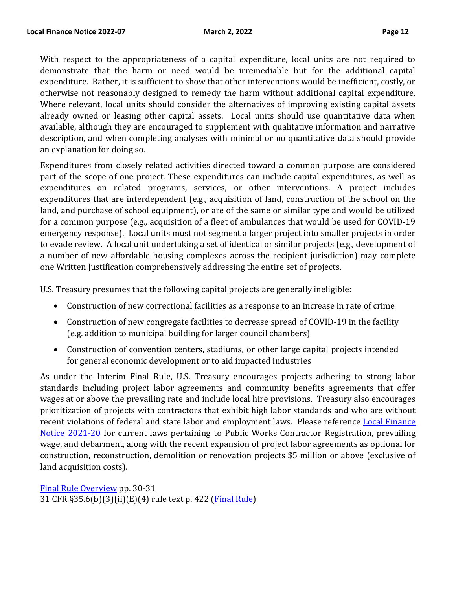With respect to the appropriateness of a capital expenditure, local units are not required to demonstrate that the harm or need would be irremediable but for the additional capital expenditure. Rather, it is sufficient to show that other interventions would be inefficient, costly, or otherwise not reasonably designed to remedy the harm without additional capital expenditure. Where relevant, local units should consider the alternatives of improving existing capital assets already owned or leasing other capital assets. Local units should use quantitative data when available, although they are encouraged to supplement with qualitative information and narrative description, and when completing analyses with minimal or no quantitative data should provide an explanation for doing so.

Expenditures from closely related activities directed toward a common purpose are considered part of the scope of one project. These expenditures can include capital expenditures, as well as expenditures on related programs, services, or other interventions. A project includes expenditures that are interdependent (e.g., acquisition of land, construction of the school on the land, and purchase of school equipment), or are of the same or similar type and would be utilized for a common purpose (e.g., acquisition of a fleet of ambulances that would be used for COVID-19 emergency response). Local units must not segment a larger project into smaller projects in order to evade review. A local unit undertaking a set of identical or similar projects (e.g., development of a number of new affordable housing complexes across the recipient jurisdiction) may complete one Written Justification comprehensively addressing the entire set of projects.

U.S. Treasury presumes that the following capital projects are generally ineligible:

- Construction of new correctional facilities as a response to an increase in rate of crime
- Construction of new congregate facilities to decrease spread of COVID-19 in the facility (e.g. addition to municipal building for larger council chambers)
- Construction of convention centers, stadiums, or other large capital projects intended for general economic development or to aid impacted industries

As under the Interim Final Rule, U.S. Treasury encourages projects adhering to strong labor standards including project labor agreements and community benefits agreements that offer wages at or above the prevailing rate and include local hire provisions. Treasury also encourages prioritization of projects with contractors that exhibit high labor standards and who are without recent violations of federal and state labor and employment laws. Please reference [Local Finance](https://www.nj.gov/dca/divisions/dlgs/lfns/21/2021-20.pdf)  [Notice 2021-20](https://www.nj.gov/dca/divisions/dlgs/lfns/21/2021-20.pdf) for current laws pertaining to Public Works Contractor Registration, prevailing wage, and debarment, along with the recent expansion of project labor agreements as optional for construction, reconstruction, demolition or renovation projects \$5 million or above (exclusive of land acquisition costs).

[Final Rule Overview](https://home.treasury.gov/system/files/136/SLFRF-Final-Rule-Overview.pdf) pp. 30-31 31 CFR §35.6(b)(3)(ii)(E)(4) rule text p. 422 [\(Final Rule\)](https://home.treasury.gov/system/files/136/SLFRF-Final-Rule.pdf)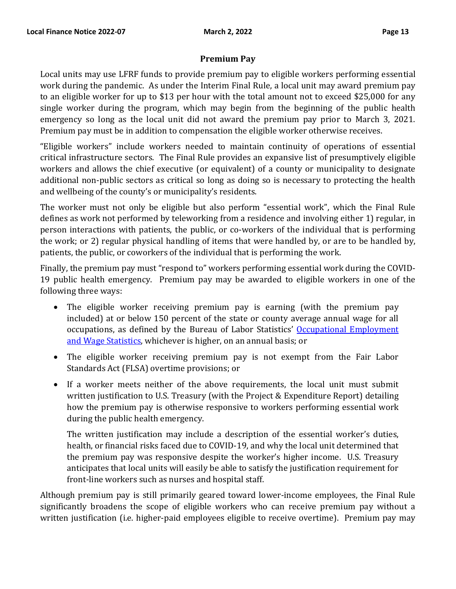#### **Premium Pay**

Local units may use LFRF funds to provide premium pay to eligible workers performing essential work during the pandemic. As under the Interim Final Rule, a local unit may award premium pay to an eligible worker for up to \$13 per hour with the total amount not to exceed \$25,000 for any single worker during the program, which may begin from the beginning of the public health emergency so long as the local unit did not award the premium pay prior to March 3, 2021. Premium pay must be in addition to compensation the eligible worker otherwise receives.

"Eligible workers" include workers needed to maintain continuity of operations of essential critical infrastructure sectors. The Final Rule provides an expansive list of presumptively eligible workers and allows the chief executive (or equivalent) of a county or municipality to designate additional non-public sectors as critical so long as doing so is necessary to protecting the health and wellbeing of the county's or municipality's residents.

The worker must not only be eligible but also perform "essential work", which the Final Rule defines as work not performed by teleworking from a residence and involving either 1) regular, in person interactions with patients, the public, or co-workers of the individual that is performing the work; or 2) regular physical handling of items that were handled by, or are to be handled by, patients, the public, or coworkers of the individual that is performing the work.

Finally, the premium pay must "respond to" workers performing essential work during the COVID-19 public health emergency. Premium pay may be awarded to eligible workers in one of the following three ways:

- The eligible worker receiving premium pay is earning (with the premium pay included) at or below 150 percent of the state or county average annual wage for all occupations, as defined by the Bureau of Labor Statistics' [Occupational Employment](https://www.bls.gov/oes/)  [and Wage Statistics,](https://www.bls.gov/oes/) whichever is higher, on an annual basis; or
- The eligible worker receiving premium pay is not exempt from the Fair Labor Standards Act (FLSA) overtime provisions; or
- If a worker meets neither of the above requirements, the local unit must submit written justification to U.S. Treasury (with the Project & Expenditure Report) detailing how the premium pay is otherwise responsive to workers performing essential work during the public health emergency.

The written justification may include a description of the essential worker's duties, health, or financial risks faced due to COVID-19, and why the local unit determined that the premium pay was responsive despite the worker's higher income. U.S. Treasury anticipates that local units will easily be able to satisfy the justification requirement for front-line workers such as nurses and hospital staff.

Although premium pay is still primarily geared toward lower-income employees, the Final Rule significantly broadens the scope of eligible workers who can receive premium pay without a written justification (i.e. higher-paid employees eligible to receive overtime). Premium pay may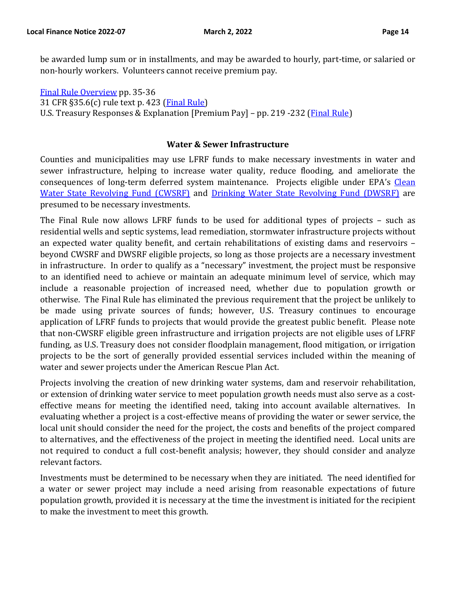be awarded lump sum or in installments, and may be awarded to hourly, part-time, or salaried or non-hourly workers. Volunteers cannot receive premium pay.

[Final Rule Overview](https://home.treasury.gov/system/files/136/SLFRF-Final-Rule-Overview.pdf) pp. 35-36 31 CFR §35.6(c) rule text p. 423 [\(Final Rule\)](https://home.treasury.gov/system/files/136/SLFRF-Final-Rule.pdf) U.S. Treasury Responses & Explanation [Premium Pay] – pp. 219 -232 [\(Final Rule\)](https://home.treasury.gov/system/files/136/SLFRF-Final-Rule.pdf)

#### **Water & Sewer Infrastructure**

Counties and municipalities may use LFRF funds to make necessary investments in water and sewer infrastructure, helping to increase water quality, reduce flooding, and ameliorate the consequences of long-term deferred system maintenance. Projects eligible under EPA's [Clean](https://www.epa.gov/sites/default/files/2016-07/documents/overview_of_cwsrf_eligibilities_may_2016.pdf)  [Water State Revolving Fund](https://www.epa.gov/sites/default/files/2016-07/documents/overview_of_cwsrf_eligibilities_may_2016.pdf) (CWSRF) and [Drinking Water State Revolving Fund \(DWSRF\)](https://www.epa.gov/sites/default/files/2019-10/documents/dwsrf_eligibility_handbook_june_13_2017_updated_508_versioni.pdf) are presumed to be necessary investments.

The Final Rule now allows LFRF funds to be used for additional types of projects – such as residential wells and septic systems, lead remediation, stormwater infrastructure projects without an expected water quality benefit, and certain rehabilitations of existing dams and reservoirs – beyond CWSRF and DWSRF eligible projects, so long as those projects are a necessary investment in infrastructure. In order to qualify as a "necessary" investment, the project must be responsive to an identified need to achieve or maintain an adequate minimum level of service, which may include a reasonable projection of increased need, whether due to population growth or otherwise. The Final Rule has eliminated the previous requirement that the project be unlikely to be made using private sources of funds; however, U.S. Treasury continues to encourage application of LFRF funds to projects that would provide the greatest public benefit. Please note that non-CWSRF eligible green infrastructure and irrigation projects are not eligible uses of LFRF funding, as U.S. Treasury does not consider floodplain management, flood mitigation, or irrigation projects to be the sort of generally provided essential services included within the meaning of water and sewer projects under the American Rescue Plan Act.

Projects involving the creation of new drinking water systems, dam and reservoir rehabilitation, or extension of drinking water service to meet population growth needs must also serve as a costeffective means for meeting the identified need, taking into account available alternatives. In evaluating whether a project is a cost-effective means of providing the water or sewer service, the local unit should consider the need for the project, the costs and benefits of the project compared to alternatives, and the effectiveness of the project in meeting the identified need. Local units are not required to conduct a full cost-benefit analysis; however, they should consider and analyze relevant factors.

Investments must be determined to be necessary when they are initiated. The need identified for a water or sewer project may include a need arising from reasonable expectations of future population growth, provided it is necessary at the time the investment is initiated for the recipient to make the investment to meet this growth.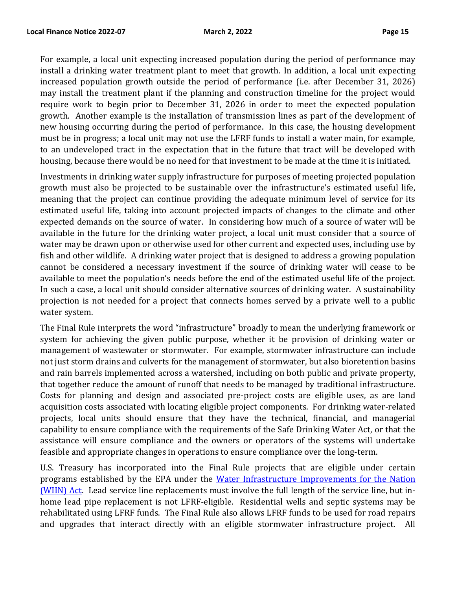For example, a local unit expecting increased population during the period of performance may install a drinking water treatment plant to meet that growth. In addition, a local unit expecting increased population growth outside the period of performance (i.e. after December 31, 2026) may install the treatment plant if the planning and construction timeline for the project would require work to begin prior to December 31, 2026 in order to meet the expected population growth. Another example is the installation of transmission lines as part of the development of new housing occurring during the period of performance. In this case, the housing development must be in progress; a local unit may not use the LFRF funds to install a water main, for example, to an undeveloped tract in the expectation that in the future that tract will be developed with housing, because there would be no need for that investment to be made at the time it is initiated.

Investments in drinking water supply infrastructure for purposes of meeting projected population growth must also be projected to be sustainable over the infrastructure's estimated useful life, meaning that the project can continue providing the adequate minimum level of service for its estimated useful life, taking into account projected impacts of changes to the climate and other expected demands on the source of water. In considering how much of a source of water will be available in the future for the drinking water project, a local unit must consider that a source of water may be drawn upon or otherwise used for other current and expected uses, including use by fish and other wildlife. A drinking water project that is designed to address a growing population cannot be considered a necessary investment if the source of drinking water will cease to be available to meet the population's needs before the end of the estimated useful life of the project. In such a case, a local unit should consider alternative sources of drinking water. A sustainability projection is not needed for a project that connects homes served by a private well to a public water system.

The Final Rule interprets the word "infrastructure" broadly to mean the underlying framework or system for achieving the given public purpose, whether it be provision of drinking water or management of wastewater or stormwater. For example, stormwater infrastructure can include not just storm drains and culverts for the management of stormwater, but also bioretention basins and rain barrels implemented across a watershed, including on both public and private property, that together reduce the amount of runoff that needs to be managed by traditional infrastructure. Costs for planning and design and associated pre-project costs are eligible uses, as are land acquisition costs associated with locating eligible project components. For drinking water-related projects, local units should ensure that they have the technical, financial, and managerial capability to ensure compliance with the requirements of the Safe Drinking Water Act, or that the assistance will ensure compliance and the owners or operators of the systems will undertake feasible and appropriate changes in operations to ensure compliance over the long-term.

U.S. Treasury has incorporated into the Final Rule projects that are eligible under certain programs established by the EPA under the [Water Infrastructure Improvements for the Nation](https://www.epa.gov/dwcapacity/water-infrastructure-improvements-nation-act-wiin-act-grant-programs) [\(WIIN\)](https://www.epa.gov/dwcapacity/water-infrastructure-improvements-nation-act-wiin-act-grant-programs) Act. Lead service line replacements must involve the full length of the service line, but inhome lead pipe replacement is not LFRF-eligible. Residential wells and septic systems may be rehabilitated using LFRF funds. The Final Rule also allows LFRF funds to be used for road repairs and upgrades that interact directly with an eligible stormwater infrastructure project. All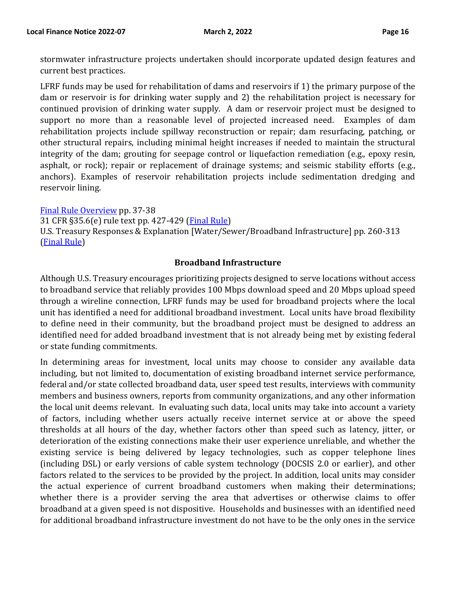stormwater infrastructure projects undertaken should incorporate updated design features and current best practices.

LFRF funds may be used for rehabilitation of dams and reservoirs if 1) the primary purpose of the dam or reservoir is for drinking water supply and 2) the rehabilitation project is necessary for continued provision of drinking water supply. A dam or reservoir project must be designed to support no more than a reasonable level of projected increased need. Examples of dam rehabilitation projects include spillway reconstruction or repair; dam resurfacing, patching, or other structural repairs, including minimal height increases if needed to maintain the structural integrity of the dam; grouting for seepage control or liquefaction remediation (e.g., epoxy resin, asphalt, or rock); repair or replacement of drainage systems; and seismic stability efforts (e.g., anchors). Examples of reservoir rehabilitation projects include sedimentation dredging and reservoir lining.

#### [Final Rule Overview](https://home.treasury.gov/system/files/136/SLFRF-Final-Rule-Overview.pdf) pp. 37-38

31 CFR §35.6(e) rule text pp. 427-429 [\(Final Rule\)](https://home.treasury.gov/system/files/136/SLFRF-Final-Rule.pdf)

U.S. Treasury Responses & Explanation [Water/Sewer/Broadband Infrastructure] pp. 260-313 [\(Final Rule\)](https://home.treasury.gov/system/files/136/SLFRF-Final-Rule.pdf)

### **Broadband Infrastructure**

Although U.S. Treasury encourages prioritizing projects designed to serve locations without access to broadband service that reliably provides 100 Mbps download speed and 20 Mbps upload speed through a wireline connection, LFRF funds may be used for broadband projects where the local unit has identified a need for additional broadband investment. Local units have broad flexibility to define need in their community, but the broadband project must be designed to address an identified need for added broadband investment that is not already being met by existing federal or state funding commitments.

In determining areas for investment, local units may choose to consider any available data including, but not limited to, documentation of existing broadband internet service performance, federal and/or state collected broadband data, user speed test results, interviews with community members and business owners, reports from community organizations, and any other information the local unit deems relevant. In evaluating such data, local units may take into account a variety of factors, including whether users actually receive internet service at or above the speed thresholds at all hours of the day, whether factors other than speed such as latency, jitter, or deterioration of the existing connections make their user experience unreliable, and whether the existing service is being delivered by legacy technologies, such as copper telephone lines (including DSL) or early versions of cable system technology (DOCSIS 2.0 or earlier), and other factors related to the services to be provided by the project. In addition, local units may consider the actual experience of current broadband customers when making their determinations; whether there is a provider serving the area that advertises or otherwise claims to offer broadband at a given speed is not dispositive. Households and businesses with an identified need for additional broadband infrastructure investment do not have to be the only ones in the service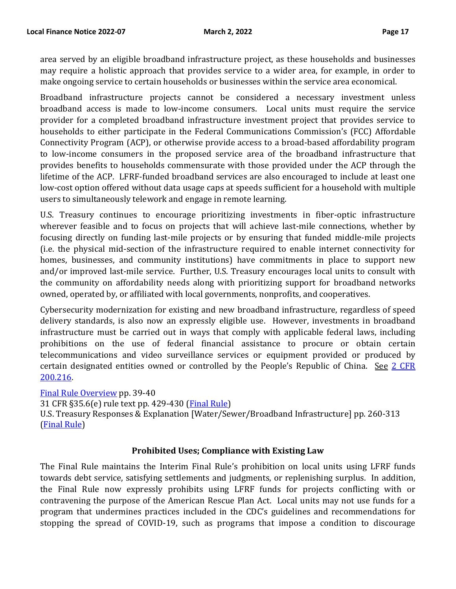area served by an eligible broadband infrastructure project, as these households and businesses may require a holistic approach that provides service to a wider area, for example, in order to make ongoing service to certain households or businesses within the service area economical.

Broadband infrastructure projects cannot be considered a necessary investment unless broadband access is made to low-income consumers. Local units must require the service provider for a completed broadband infrastructure investment project that provides service to households to either participate in the Federal Communications Commission's (FCC) Affordable Connectivity Program (ACP), or otherwise provide access to a broad-based affordability program to low-income consumers in the proposed service area of the broadband infrastructure that provides benefits to households commensurate with those provided under the ACP through the lifetime of the ACP. LFRF-funded broadband services are also encouraged to include at least one low-cost option offered without data usage caps at speeds sufficient for a household with multiple users to simultaneously telework and engage in remote learning.

U.S. Treasury continues to encourage prioritizing investments in fiber-optic infrastructure wherever feasible and to focus on projects that will achieve last-mile connections, whether by focusing directly on funding last-mile projects or by ensuring that funded middle-mile projects (i.e. the physical mid-section of the infrastructure required to enable internet connectivity for homes, businesses, and community institutions) have commitments in place to support new and/or improved last-mile service. Further, U.S. Treasury encourages local units to consult with the community on affordability needs along with prioritizing support for broadband networks owned, operated by, or affiliated with local governments, nonprofits, and cooperatives.

Cybersecurity modernization for existing and new broadband infrastructure, regardless of speed delivery standards, is also now an expressly eligible use. However, investments in broadband infrastructure must be carried out in ways that comply with applicable federal laws, including prohibitions on the use of federal financial assistance to procure or obtain certain telecommunications and video surveillance services or equipment provided or produced by certain designated entities owned or controlled by the People's Republic of China. See 2 CFR [200.216.](https://www.ecfr.gov/current/title-2/subtitle-A/chapter-II/part-200/subpart-C/section-200.216) 

[Final Rule Overview](https://home.treasury.gov/system/files/136/SLFRF-Final-Rule-Overview.pdf) pp. 39-40

31 CFR §35.6(e) rule text pp. 429-430 [\(Final Rule\)](https://home.treasury.gov/system/files/136/SLFRF-Final-Rule.pdf)

U.S. Treasury Responses & Explanation [Water/Sewer/Broadband Infrastructure] pp. 260-313 [\(Final Rule\)](https://home.treasury.gov/system/files/136/SLFRF-Final-Rule.pdf)

#### **Prohibited Uses; Compliance with Existing Law**

The Final Rule maintains the Interim Final Rule's prohibition on local units using LFRF funds towards debt service, satisfying settlements and judgments, or replenishing surplus. In addition, the Final Rule now expressly prohibits using LFRF funds for projects conflicting with or contravening the purpose of the American Rescue Plan Act. Local units may not use funds for a program that undermines practices included in the CDC's guidelines and recommendations for stopping the spread of COVID-19, such as programs that impose a condition to discourage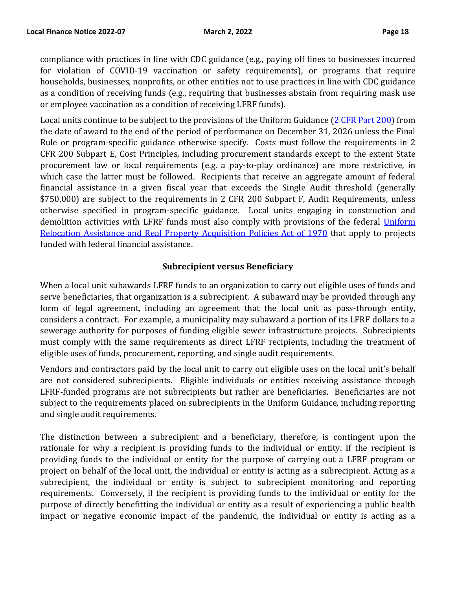compliance with practices in line with CDC guidance (e.g., paying off fines to businesses incurred for violation of COVID-19 vaccination or safety requirements), or programs that require households, businesses, nonprofits, or other entities not to use practices in line with CDC guidance as a condition of receiving funds (e.g., requiring that businesses abstain from requiring mask use or employee vaccination as a condition of receiving LFRF funds).

Local units continue to be subject to the provisions of the Uniform Guidance [\(2 CFR Part 200\)](https://www.ecfr.gov/current/title-2/subtitle-A/chapter-II/part-200?toc=1) from the date of award to the end of the period of performance on December 31, 2026 unless the Final Rule or program-specific guidance otherwise specify. Costs must follow the requirements in 2 CFR 200 Subpart E, Cost Principles, including procurement standards except to the extent State procurement law or local requirements (e.g. a pay-to-play ordinance) are more restrictive, in which case the latter must be followed. Recipients that receive an aggregate amount of federal financial assistance in a given fiscal year that exceeds the Single Audit threshold (generally \$750,000) are subject to the requirements in 2 CFR 200 Subpart F, Audit Requirements, unless otherwise specified in program-specific guidance. Local units engaging in construction and demolition activities with LFRF funds must also comply with provisions of the federal Uniform Relocation Assistance and Real [Property Acquisition Policies Act of 1970](https://www.hudexchange.info/programs/relocation/overview/#overview-of-the-ura) that apply to projects funded with federal financial assistance.

#### **Subrecipient versus Beneficiary**

When a local unit subawards LFRF funds to an organization to carry out eligible uses of funds and serve beneficiaries, that organization is a subrecipient. A subaward may be provided through any form of legal agreement, including an agreement that the local unit as pass-through entity, considers a contract. For example, a municipality may subaward a portion of its LFRF dollars to a sewerage authority for purposes of funding eligible sewer infrastructure projects. Subrecipients must comply with the same requirements as direct LFRF recipients, including the treatment of eligible uses of funds, procurement, reporting, and single audit requirements.

Vendors and contractors paid by the local unit to carry out eligible uses on the local unit's behalf are not considered subrecipients. Eligible individuals or entities receiving assistance through LFRF-funded programs are not subrecipients but rather are beneficiaries. Beneficiaries are not subject to the requirements placed on subrecipients in the Uniform Guidance, including reporting and single audit requirements.

The distinction between a subrecipient and a beneficiary, therefore, is contingent upon the rationale for why a recipient is providing funds to the individual or entity. If the recipient is providing funds to the individual or entity for the purpose of carrying out a LFRF program or project on behalf of the local unit, the individual or entity is acting as a subrecipient. Acting as a subrecipient, the individual or entity is subject to subrecipient monitoring and reporting requirements. Conversely, if the recipient is providing funds to the individual or entity for the purpose of directly benefitting the individual or entity as a result of experiencing a public health impact or negative economic impact of the pandemic, the individual or entity is acting as a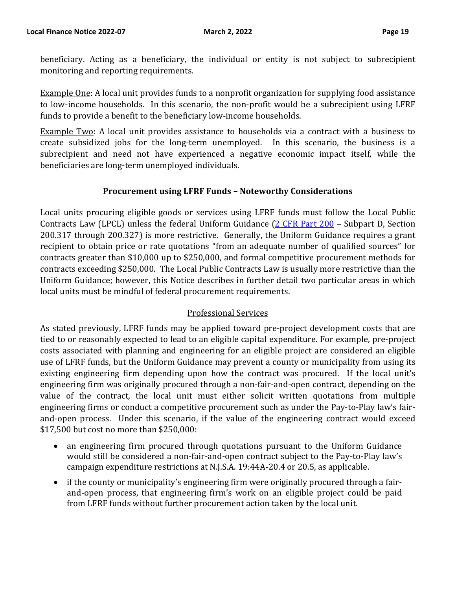beneficiary. Acting as a beneficiary, the individual or entity is not subject to subrecipient monitoring and reporting requirements.

Example One: A local unit provides funds to a nonprofit organization for supplying food assistance to low-income households. In this scenario, the non-profit would be a subrecipient using LFRF funds to provide a benefit to the beneficiary low-income households.

Example Two: A local unit provides assistance to households via a contract with a business to create subsidized jobs for the long-term unemployed. In this scenario, the business is a subrecipient and need not have experienced a negative economic impact itself, while the beneficiaries are long-term unemployed individuals.

#### **Procurement using LFRF Funds – Noteworthy Considerations**

Local units procuring eligible goods or services using LFRF funds must follow the Local Public Contracts Law (LPCL) unless the federal Uniform Guidance [\(2 CFR Part 200](https://www.ecfr.gov/current/title-2/subtitle-A/chapter-II/part-200) - Subpart D, Section 200.317 through 200.327) is more restrictive. Generally, the Uniform Guidance requires a grant recipient to obtain price or rate quotations "from an adequate number of qualified sources" for contracts greater than \$10,000 up to \$250,000, and formal competitive procurement methods for contracts exceeding \$250,000. The Local Public Contracts Law is usually more restrictive than the Uniform Guidance; however, this Notice describes in further detail two particular areas in which local units must be mindful of federal procurement requirements.

#### Professional Services

As stated previously, LFRF funds may be applied toward pre-project development costs that are tied to or reasonably expected to lead to an eligible capital expenditure. For example, pre-project costs associated with planning and engineering for an eligible project are considered an eligible use of LFRF funds, but the Uniform Guidance may prevent a county or municipality from using its existing engineering firm depending upon how the contract was procured. If the local unit's engineering firm was originally procured through a non-fair-and-open contract, depending on the value of the contract, the local unit must either solicit written quotations from multiple engineering firms or conduct a competitive procurement such as under the Pay-to-Play law's fairand-open process. Under this scenario, if the value of the engineering contract would exceed \$17,500 but cost no more than \$250,000:

- an engineering firm procured through quotations pursuant to the Uniform Guidance would still be considered a non-fair-and-open contract subject to the Pay-to-Play law's campaign expenditure restrictions at N.J.S.A. 19:44A-20.4 or 20.5, as applicable.
- if the county or municipality's engineering firm were originally procured through a fairand-open process, that engineering firm's work on an eligible project could be paid from LFRF funds without further procurement action taken by the local unit.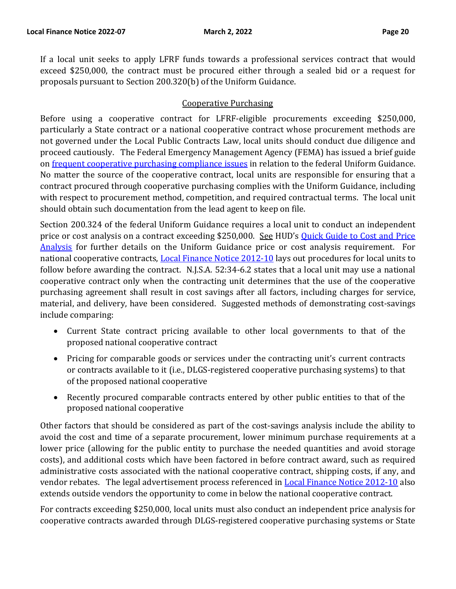If a local unit seeks to apply LFRF funds towards a professional services contract that would exceed \$250,000, the contract must be procured either through a sealed bid or a request for proposals pursuant to Section 200.320(b) of the Uniform Guidance.

# Cooperative Purchasing

Before using a cooperative contract for LFRF-eligible procurements exceeding \$250,000, particularly a State contract or a national cooperative contract whose procurement methods are not governed under the Local Public Contracts Law, local units should conduct due diligence and proceed cautiously. The Federal Emergency Management Agency (FEMA) has issued a brief guide on frequent [cooperative purchasing](https://www.fema.gov/assistance/public/nonstate-nonprofit/cooperative-purchasing-program) compliance issues in relation to the federal Uniform Guidance. No matter the source of the cooperative contract, local units are responsible for ensuring that a contract procured through cooperative purchasing complies with the Uniform Guidance, including with respect to procurement method, competition, and required contractual terms. The local unit should obtain such documentation from the lead agent to keep on file.

Section 200.324 of the federal Uniform Guidance requires a local unit to conduct an independent price or cost analysis on a contract exceeding \$250,000. See HUD's [Quick Guide to](https://www.hud.gov/program_offices/cpo/grantees/cstprice) Cost and Price [Analysis](https://www.hud.gov/program_offices/cpo/grantees/cstprice) for further details on the Uniform Guidance price or cost analysis requirement. For national cooperative contracts, **Local [Finance Notice 2012-10](https://www.nj.gov/dca/divisions/dlgs/lfns/12/2012-10.pdf)** lays out procedures for local units to follow before awarding the contract. N.J.S.A. 52:34-6.2 states that a local unit may use a national cooperative contract only when the contracting unit determines that the use of the cooperative purchasing agreement shall result in cost savings after all factors, including charges for service, material, and delivery, have been considered. Suggested methods of demonstrating cost-savings include comparing:

- Current State contract pricing available to other local governments to that of the proposed national cooperative contract
- Pricing for comparable goods or services under the contracting unit's current contracts or contracts available to it (i.e., DLGS-registered cooperative purchasing systems) to that of the proposed national cooperative
- Recently procured comparable contracts entered by other public entities to that of the proposed national cooperative

Other factors that should be considered as part of the cost-savings analysis include the ability to avoid the cost and time of a separate procurement, lower minimum purchase requirements at a lower price (allowing for the public entity to purchase the needed quantities and avoid storage costs), and additional costs which have been factored in before contract award, such as required administrative costs associated with the national cooperative contract, shipping costs, if any, and vendor rebates. The legal advertisement process referenced in **Local Finance Notice 2012-10** also extends outside vendors the opportunity to come in below the national cooperative contract.

For contracts exceeding \$250,000, local units must also conduct an independent price analysis for cooperative contracts awarded through DLGS-registered cooperative purchasing systems or State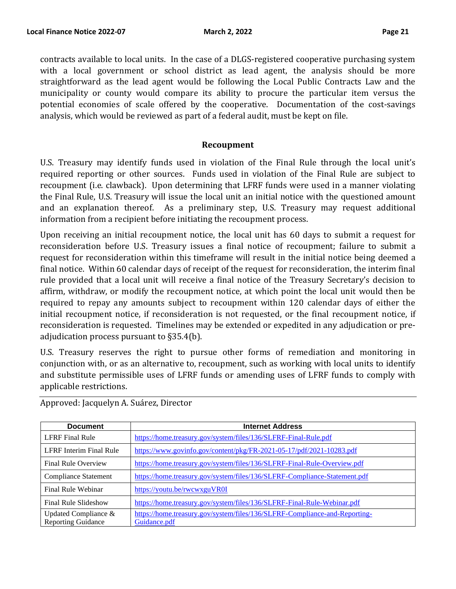contracts available to local units. In the case of a DLGS-registered cooperative purchasing system with a local government or school district as lead agent, the analysis should be more straightforward as the lead agent would be following the Local Public Contracts Law and the municipality or county would compare its ability to procure the particular item versus the potential economies of scale offered by the cooperative. Documentation of the cost-savings analysis, which would be reviewed as part of a federal audit, must be kept on file.

#### **Recoupment**

U.S. Treasury may identify funds used in violation of the Final Rule through the local unit's required reporting or other sources. Funds used in violation of the Final Rule are subject to recoupment (i.e. clawback). Upon determining that LFRF funds were used in a manner violating the Final Rule, U.S. Treasury will issue the local unit an initial notice with the questioned amount and an explanation thereof. As a preliminary step, U.S. Treasury may request additional information from a recipient before initiating the recoupment process.

Upon receiving an initial recoupment notice, the local unit has 60 days to submit a request for reconsideration before U.S. Treasury issues a final notice of recoupment; failure to submit a request for reconsideration within this timeframe will result in the initial notice being deemed a final notice. Within 60 calendar days of receipt of the request for reconsideration, the interim final rule provided that a local unit will receive a final notice of the Treasury Secretary's decision to affirm, withdraw, or modify the recoupment notice, at which point the local unit would then be required to repay any amounts subject to recoupment within 120 calendar days of either the initial recoupment notice, if reconsideration is not requested, or the final recoupment notice, if reconsideration is requested. Timelines may be extended or expedited in any adjudication or preadjudication process pursuant to §35.4(b).

U.S. Treasury reserves the right to pursue other forms of remediation and monitoring in conjunction with, or as an alternative to, recoupment, such as working with local units to identify and substitute permissible uses of LFRF funds or amending uses of LFRF funds to comply with applicable restrictions.

| <b>Document</b>            | <b>Internet Address</b>                                                    |
|----------------------------|----------------------------------------------------------------------------|
| <b>LFRF</b> Final Rule     | https://home.treasury.gov/system/files/136/SLFRF-Final-Rule.pdf            |
| LFRF Interim Final Rule    | https://www.govinfo.gov/content/pkg/FR-2021-05-17/pdf/2021-10283.pdf       |
| <b>Final Rule Overview</b> | https://home.treasury.gov/system/files/136/SLFRF-Final-Rule-Overview.pdf   |
| Compliance Statement       | https://home.treasury.gov/system/files/136/SLFRF-Compliance-Statement.pdf  |
| Final Rule Webinar         | https://youtu.be/rwcwxguVR0I                                               |
| Final Rule Slideshow       | https://home.treasury.gov/system/files/136/SLFRF-Final-Rule-Webinar.pdf    |
| Updated Compliance $\&$    | https://home.treasury.gov/system/files/136/SLFRF-Compliance-and-Reporting- |
| <b>Reporting Guidance</b>  | Guidance.pdf                                                               |

Approved: Jacquelyn A. Suárez, Director